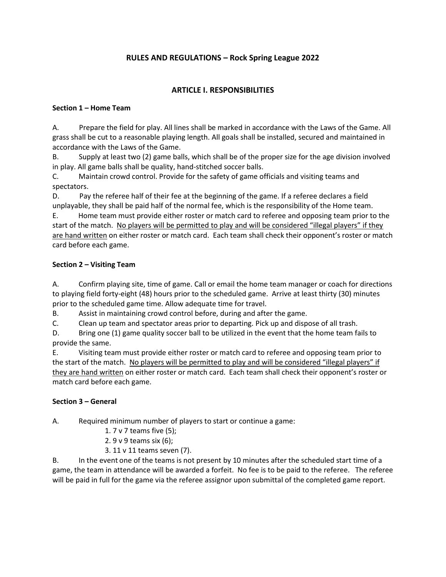# **RULES AND REGULATIONS – Rock Spring League 2022**

# **ARTICLE I. RESPONSIBILITIES**

### **Section 1 – Home Team**

A. Prepare the field for play. All lines shall be marked in accordance with the Laws of the Game. All grass shall be cut to a reasonable playing length. All goals shall be installed, secured and maintained in accordance with the Laws of the Game.

B. Supply at least two (2) game balls, which shall be of the proper size for the age division involved in play. All game balls shall be quality, hand-stitched soccer balls.

C. Maintain crowd control. Provide for the safety of game officials and visiting teams and spectators.

D. Pay the referee half of their fee at the beginning of the game. If a referee declares a field unplayable, they shall be paid half of the normal fee, which is the responsibility of the Home team.

E. Home team must provide either roster or match card to referee and opposing team prior to the start of the match. No players will be permitted to play and will be considered "illegal players" if they are hand written on either roster or match card. Each team shall check their opponent's roster or match card before each game.

# **Section 2 – Visiting Team**

A. Confirm playing site, time of game. Call or email the home team manager or coach for directions to playing field forty-eight (48) hours prior to the scheduled game. Arrive at least thirty (30) minutes prior to the scheduled game time. Allow adequate time for travel.

B. Assist in maintaining crowd control before, during and after the game.

C. Clean up team and spectator areas prior to departing. Pick up and dispose of all trash.

D. Bring one (1) game quality soccer ball to be utilized in the event that the home team fails to provide the same.

E. Visiting team must provide either roster or match card to referee and opposing team prior to the start of the match. No players will be permitted to play and will be considered "illegal players" if they are hand written on either roster or match card. Each team shall check their opponent's roster or match card before each game.

### **Section 3 – General**

A. Required minimum number of players to start or continue a game:

- 1. 7 v 7 teams five (5);
- 2. 9 v 9 teams six (6);
- 3. 11 v 11 teams seven (7).

B. In the event one of the teams is not present by 10 minutes after the scheduled start time of a game, the team in attendance will be awarded a forfeit. No fee is to be paid to the referee. The referee will be paid in full for the game via the referee assignor upon submittal of the completed game report.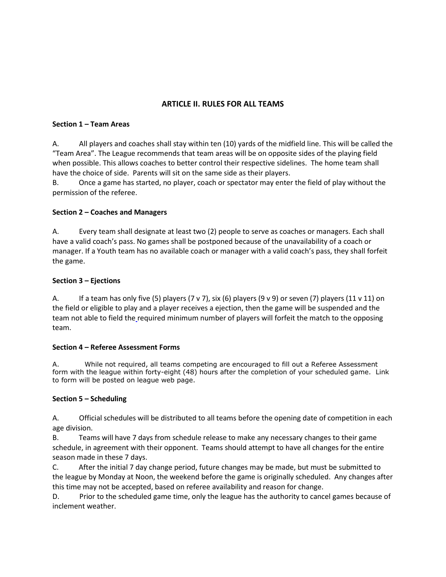# **ARTICLE II. RULES FOR ALL TEAMS**

#### **Section 1 – Team Areas**

A. All players and coaches shall stay within ten (10) yards of the midfield line. This will be called the "Team Area". The League recommends that team areas will be on opposite sides of the playing field when possible. This allows coaches to better control their respective sidelines. The home team shall have the choice of side. Parents will sit on the same side as their players.

B. Once a game has started, no player, coach or spectator may enter the field of play without the permission of the referee.

### **Section 2 – Coaches and Managers**

A. Every team shall designate at least two (2) people to serve as coaches or managers. Each shall have a valid coach's pass. No games shall be postponed because of the unavailability of a coach or manager. If a Youth team has no available coach or manager with a valid coach's pass, they shall forfeit the game.

#### **Section 3 – Ejections**

A. If a team has only five (5) players (7 v 7), six (6) players (9 v 9) or seven (7) players (11 v 11) on the field or eligible to play and a player receives a ejection, then the game will be suspended and the team not able to field the required minimum number of players will forfeit the match to the opposing team.

#### **Section 4 – Referee Assessment Forms**

A. While not required, all teams competing are encouraged to fill out a Referee Assessment form with the league within forty-eight (48) hours after the completion of your scheduled game. Link to form will be posted on league web page.

### **Section 5 – Scheduling**

A. Official schedules will be distributed to all teams before the opening date of competition in each age division.

B. Teams will have 7 days from schedule release to make any necessary changes to their game schedule, in agreement with their opponent. Teams should attempt to have all changes for the entire season made in these 7 days.

C. After the initial 7 day change period, future changes may be made, but must be submitted to the league by Monday at Noon, the weekend before the game is originally scheduled. Any changes after this time may not be accepted, based on referee availability and reason for change.

D. Prior to the scheduled game time, only the league has the authority to cancel games because of inclement weather.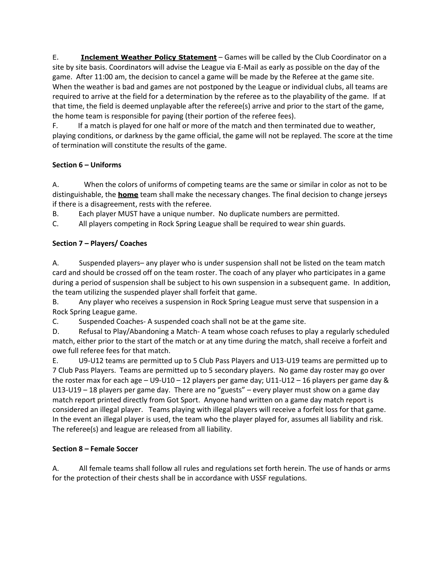E. **Inclement Weather Policy Statement** – Games will be called by the Club Coordinator on a site by site basis. Coordinators will advise the League via E-Mail as early as possible on the day of the game. After 11:00 am, the decision to cancel a game will be made by the Referee at the game site. When the weather is bad and games are not postponed by the League or individual clubs, all teams are required to arrive at the field for a determination by the referee as to the playability of the game. If at that time, the field is deemed unplayable after the referee(s) arrive and prior to the start of the game, the home team is responsible for paying (their portion of the referee fees).

F. If a match is played for one half or more of the match and then terminated due to weather, playing conditions, or darkness by the game official, the game will not be replayed. The score at the time of termination will constitute the results of the game.

# **Section 6 – Uniforms**

A.When the colors of uniforms of competing teams are the same or similar in color as not to be distinguishable, the **home** team shall make the necessary changes. The final decision to change jerseys if there is a disagreement, rests with the referee.

B. Each player MUST have a unique number. No duplicate numbers are permitted.

C. All players competing in Rock Spring League shall be required to wear shin guards.

# **Section 7 – Players/ Coaches**

A. Suspended players– any player who is under suspension shall not be listed on the team match card and should be crossed off on the team roster. The coach of any player who participates in a game during a period of suspension shall be subject to his own suspension in a subsequent game. In addition, the team utilizing the suspended player shall forfeit that game.

B. Any player who receives a suspension in Rock Spring League must serve that suspension in a Rock Spring League game.

C. Suspended Coaches- A suspended coach shall not be at the game site.

D. Refusal to Play/Abandoning a Match- A team whose coach refuses to play a regularly scheduled match, either prior to the start of the match or at any time during the match, shall receive a forfeit and owe full referee fees for that match.

E. U9-U12 teams are permitted up to 5 Club Pass Players and U13-U19 teams are permitted up to 7 Club Pass Players. Teams are permitted up to 5 secondary players. No game day roster may go over the roster max for each age – U9-U10 – 12 players per game day; U11-U12 – 16 players per game day & U13-U19 – 18 players per game day. There are no "guests" – every player must show on a game day match report printed directly from Got Sport. Anyone hand written on a game day match report is considered an illegal player. Teams playing with illegal players will receive a forfeit loss for that game. In the event an illegal player is used, the team who the player played for, assumes all liability and risk. The referee(s) and league are released from all liability.

# **Section 8 – Female Soccer**

A. All female teams shall follow all rules and regulations set forth herein. The use of hands or arms for the protection of their chests shall be in accordance with USSF regulations.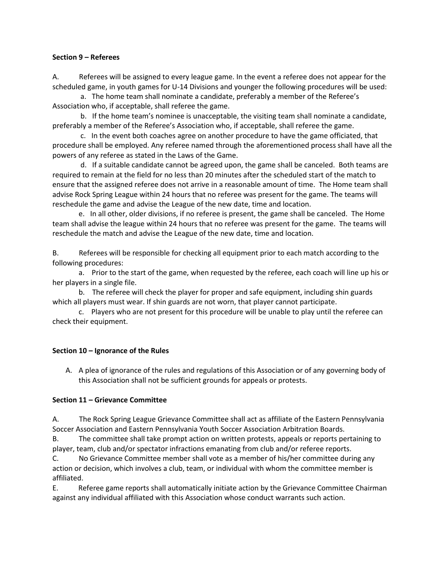#### **Section 9 – Referees**

A. Referees will be assigned to every league game. In the event a referee does not appear for the scheduled game, in youth games for U-14 Divisions and younger the following procedures will be used:

a. The home team shall nominate a candidate, preferably a member of the Referee's Association who, if acceptable, shall referee the game.

b. If the home team's nominee is unacceptable, the visiting team shall nominate a candidate, preferably a member of the Referee's Association who, if acceptable, shall referee the game.

c. In the event both coaches agree on another procedure to have the game officiated, that procedure shall be employed. Any referee named through the aforementioned process shall have all the powers of any referee as stated in the Laws of the Game.

d. If a suitable candidate cannot be agreed upon, the game shall be canceled. Both teams are required to remain at the field for no less than 20 minutes after the scheduled start of the match to ensure that the assigned referee does not arrive in a reasonable amount of time. The Home team shall advise Rock Spring League within 24 hours that no referee was present for the game. The teams will reschedule the game and advise the League of the new date, time and location.

e. In all other, older divisions, if no referee is present, the game shall be canceled. The Home team shall advise the league within 24 hours that no referee was present for the game. The teams will reschedule the match and advise the League of the new date, time and location.

B. Referees will be responsible for checking all equipment prior to each match according to the following procedures:

a. Prior to the start of the game, when requested by the referee, each coach will line up his or her players in a single file.

b. The referee will check the player for proper and safe equipment, including shin guards which all players must wear. If shin guards are not worn, that player cannot participate.

c. Players who are not present for this procedure will be unable to play until the referee can check their equipment.

### **Section 10 – Ignorance of the Rules**

A. A plea of ignorance of the rules and regulations of this Association or of any governing body of this Association shall not be sufficient grounds for appeals or protests.

### **Section 11 – Grievance Committee**

A. The Rock Spring League Grievance Committee shall act as affiliate of the Eastern Pennsylvania Soccer Association and Eastern Pennsylvania Youth Soccer Association Arbitration Boards.

B. The committee shall take prompt action on written protests, appeals or reports pertaining to player, team, club and/or spectator infractions emanating from club and/or referee reports.

C. No Grievance Committee member shall vote as a member of his/her committee during any action or decision, which involves a club, team, or individual with whom the committee member is affiliated.

E. Referee game reports shall automatically initiate action by the Grievance Committee Chairman against any individual affiliated with this Association whose conduct warrants such action.